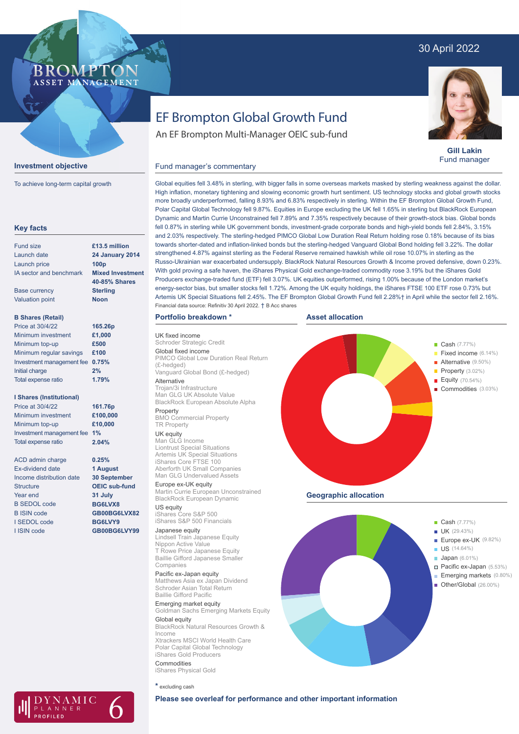# 30 April 2022

## **BROMPTO** ASSET MANAGEMENT



To achieve long-term capital growth

| <b>Key facts</b>                |                         |
|---------------------------------|-------------------------|
| <b>Fund size</b>                | £13.5 million           |
| Launch date                     | <b>24 January 2014</b>  |
| Launch price                    | 100 <sub>p</sub>        |
| IA sector and benchmark         | <b>Mixed Investment</b> |
|                                 | <b>40-85% Shares</b>    |
| <b>Base currency</b>            | <b>Sterling</b>         |
| <b>Valuation point</b>          | <b>Noon</b>             |
| <b>B Shares (Retail)</b>        |                         |
| Price at 30/4/22                | 165.26p                 |
| Minimum investment              | £1,000                  |
| Minimum top-up                  | £500                    |
| Minimum regular savings         | £100                    |
| Investment management fee       | 0.75%                   |
| Initial charge                  | 2%                      |
| Total expense ratio             | 1.79%                   |
| <b>I Shares (Institutional)</b> |                         |
| Price at 30/4/22                | 161.76p                 |
| Minimum investment              | £100,000                |
| Minimum top-up                  | £10,000                 |
| Investment management fee       | 1%                      |
| Total expense ratio             | 2.04%                   |
| ACD admin charge                | 0.25%                   |
| <b>Fx-dividend date</b>         | 1 August                |
| Income distribution date        | <b>30 September</b>     |
| Structure                       | <b>OEIC sub-fund</b>    |
| Year end                        | 31 July                 |
| <b>B SEDOL code</b>             | BG6LVX8                 |
| <b>B ISIN code</b>              | GB00BG6LVX82            |
| I SEDOL code                    | BG6LVY9                 |
| I ISIN code                     | GB00BG6LVY99            |
|                                 |                         |

# EF Brompton Global Growth Fund

An EF Brompton Multi-Manager OEIC sub-fund



**Gill Lakin** Fund manager

## Fund manager's commentary

Global equities fell 3.48% in sterling, with bigger falls in some overseas markets masked by sterling weakness against the dollar. High inflation, monetary tightening and slowing economic growth hurt sentiment. US technology stocks and global growth stocks more broadly underperformed, falling 8.93% and 6.83% respectively in sterling. Within the EF Brompton Global Growth Fund, Polar Capital Global Technology fell 9.87%. Equities in Europe excluding the UK fell 1.65% in sterling but BlackRock European Dynamic and Martin Currie Unconstrained fell 7.89% and 7.35% respectively because of their growth-stock bias. Global bonds fell 0.87% in sterling while UK government bonds, investment-grade corporate bonds and high-yield bonds fell 2.84%, 3.15% and 2.03% respectively. The sterling-hedged PIMCO Global Low Duration Real Return holding rose 0.18% because of its bias towards shorter-dated and inflation-linked bonds but the sterling-hedged Vanguard Global Bond holding fell 3.22%. The dollar strengthened 4.87% against sterling as the Federal Reserve remained hawkish while oil rose 10.07% in sterling as the Russo-Ukrainian war exacerbated undersupply. BlackRock Natural Resources Growth & Income proved defensive, down 0.23%. With gold proving a safe haven, the iShares Physical Gold exchange-traded commodity rose 3.19% but the iShares Gold Producers exchange-traded fund (ETF) fell 3.07%. UK equities outperformed, rising 1.00% because of the London market's energy-sector bias, but smaller stocks fell 1.72%. Among the UK equity holdings, the iShares FTSE 100 ETF rose 0.73% but Artemis UK Special Situations fell 2.45%. The EF Brompton Global Growth Fund fell 2.28%† in April while the sector fell 2.16%. Financial data source: Refinitiv 30 April 2022. † B Acc shares

**Asset allocation**

**Geographic allocation**

**and Cash** (7.77%) **Example 2018** (29.43%)

**Cash** (7.77%)

 $\blacksquare$  Alternative (9.50%)

**IS (14.64%) Example 2014 Japan** (6.01%)

(26.00%) Other/Global

Europe ex-UK (9.82%)

Fixed income (6.14%)

Property (3.02%) Equity (70.54%) Commodities (3.03%)

Pacific ex-Japan (5.53%) Emerging markets (0.80%)

J

## **Portfolio breakdown \***

UK fixed income Schroder Strategic Credit Global fixed income PIMCO Global Low Duration Real Return (£-hedged) Vanguard Global Bond (£-hedged)

Alternative Trojan/3i Infrastructure Man GLG UK Absolute Value BlackRock European Absolute Alpha Property

#### BMO Commercial Property TR Property UK equity

Man GLG Income Liontrust Special Situations Artemis UK Special Situations iShares Core FTSE 100 Aberforth UK Small Companies Man GLG Undervalued Assets

Europe ex-UK equity Martin Currie European Unconstrained BlackRock European Dynamic

US equity iShares Core S&P 500 iShares S&P 500 Financials

### Japanese equity

Lindsell Train Japanese Equity Nippon Active Value T Rowe Price Japanese Equity Baillie Gifford Japanese Smaller Companies

Pacific ex-Japan equity Matthews Asia ex Japan Dividend Schroder Asian Total Return Baillie Gifford Pacific

Emerging market equity Goldman Sachs Emerging Markets Equity Global equity BlackRock Natural Resources Growth & Income Xtrackers MSCI World Health Care Polar Capital Global Technology iShares Gold Producers Commodities

iShares Physical Gold

**\*** excluding cash





**Please see overleaf for performance and other important information**